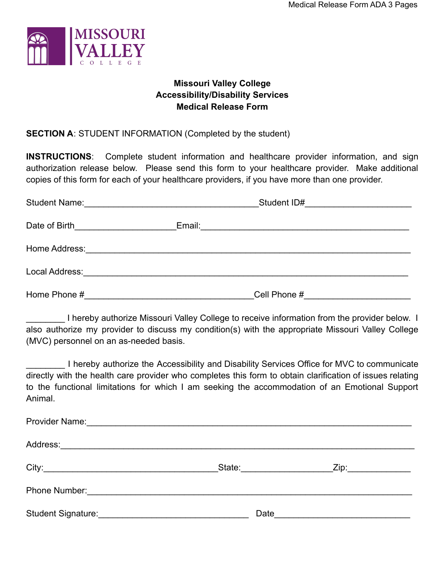

# **Missouri Valley College Accessibility/Disability Services Medical Release Form**

# **SECTION A**: STUDENT INFORMATION (Completed by the student)

**INSTRUCTIONS**: Complete student information and healthcare provider information, and sign authorization release below. Please send this form to your healthcare provider. Make additional copies of this form for each of your healthcare providers, if you have more than one provider.

| <b>Student Name:</b>               | Student ID#<br><u> 1980 - Andrea Aonaich ann an t-</u> |                                                                                                                 |  |
|------------------------------------|--------------------------------------------------------|-----------------------------------------------------------------------------------------------------------------|--|
| Date of Birth <b>Exercise 2018</b> |                                                        | Email: 2008. 2009. 2010. 2010. 2010. 2010. 2010. 2010. 2010. 2010. 2010. 2010. 2010. 2010. 2010. 2010. 2010. 20 |  |
|                                    |                                                        |                                                                                                                 |  |
|                                    |                                                        |                                                                                                                 |  |
| Home Phone #                       |                                                        | Cell Phone #                                                                                                    |  |

I hereby authorize Missouri Valley College to receive information from the provider below. I also authorize my provider to discuss my condition(s) with the appropriate Missouri Valley College (MVC) personnel on an as-needed basis.

I hereby authorize the Accessibility and Disability Services Office for MVC to communicate directly with the health care provider who completes this form to obtain clarification of issues relating to the functional limitations for which I am seeking the accommodation of an Emotional Support Animal.

|                                                                                                                                                                                                                                | State: _________________ | Zip:_____________                |  |
|--------------------------------------------------------------------------------------------------------------------------------------------------------------------------------------------------------------------------------|--------------------------|----------------------------------|--|
| Phone Number: 2008 and 2009 and 2009 and 2010 and 2010 and 2010 and 2010 and 2010 and 2010 and 2010 and 2010 and 2010 and 2010 and 2010 and 2010 and 2010 and 2010 and 2010 and 2010 and 2010 and 2010 and 2010 and 2010 and 2 |                          |                                  |  |
|                                                                                                                                                                                                                                |                          | Date <u>____________________</u> |  |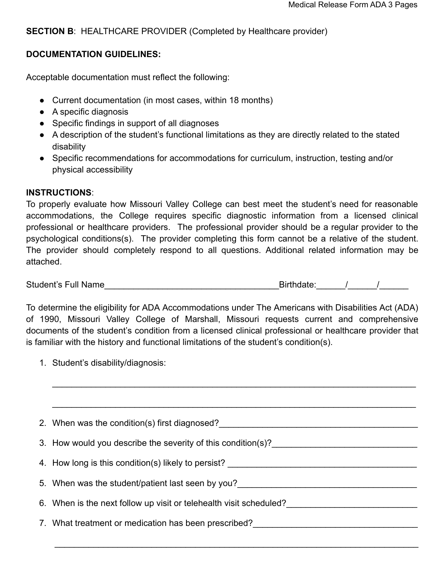## **SECTION B: HEALTHCARE PROVIDER (Completed by Healthcare provider)**

### **DOCUMENTATION GUIDELINES:**

Acceptable documentation must reflect the following:

- Current documentation (in most cases, within 18 months)
- A specific diagnosis
- Specific findings in support of all diagnoses
- A description of the student's functional limitations as they are directly related to the stated disability
- Specific recommendations for accommodations for curriculum, instruction, testing and/or physical accessibility

### **INSTRUCTIONS**:

To properly evaluate how Missouri Valley College can best meet the student's need for reasonable accommodations, the College requires specific diagnostic information from a licensed clinical professional or healthcare providers. The professional provider should be a regular provider to the psychological conditions(s). The provider completing this form cannot be a relative of the student. The provider should completely respond to all questions. Additional related information may be attached.

Student's Full Name\_\_\_\_\_\_\_\_\_\_\_\_\_\_\_\_\_\_\_\_\_\_\_\_\_\_\_\_\_\_\_\_\_\_\_\_Birthdate:\_\_\_\_\_\_/\_\_\_\_\_\_/\_\_\_\_\_\_

To determine the eligibility for ADA Accommodations under The Americans with Disabilities Act (ADA) of 1990, Missouri Valley College of Marshall, Missouri requests current and comprehensive documents of the student's condition from a licensed clinical professional or healthcare provider that is familiar with the history and functional limitations of the student's condition(s).

 $\mathcal{L}_\mathcal{L} = \mathcal{L}_\mathcal{L} = \mathcal{L}_\mathcal{L} = \mathcal{L}_\mathcal{L} = \mathcal{L}_\mathcal{L} = \mathcal{L}_\mathcal{L} = \mathcal{L}_\mathcal{L} = \mathcal{L}_\mathcal{L} = \mathcal{L}_\mathcal{L} = \mathcal{L}_\mathcal{L} = \mathcal{L}_\mathcal{L} = \mathcal{L}_\mathcal{L} = \mathcal{L}_\mathcal{L} = \mathcal{L}_\mathcal{L} = \mathcal{L}_\mathcal{L} = \mathcal{L}_\mathcal{L} = \mathcal{L}_\mathcal{L}$ 

1. Student's disability/diagnosis:

| 2. When was the condition(s) first diagnosed?                      |
|--------------------------------------------------------------------|
| 3. How would you describe the severity of this condition(s)?       |
| 4. How long is this condition(s) likely to persist?                |
| 5. When was the student/patient last seen by you?                  |
| 6. When is the next follow up visit or telehealth visit scheduled? |
| 7. What treatment or medication has been prescribed?               |
|                                                                    |

 $\_$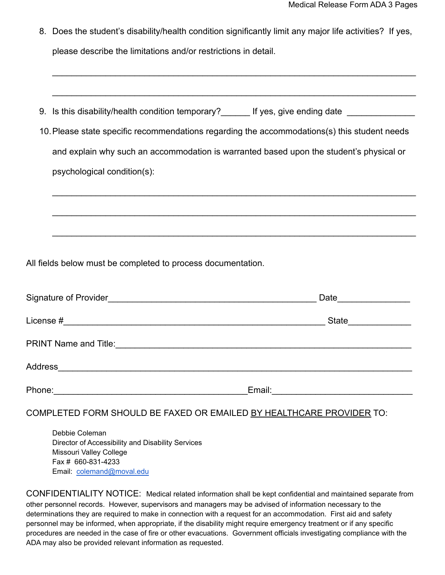8. Does the student's disability/health condition significantly limit any major life activities? If yes, please describe the limitations and/or restrictions in detail.

\_\_\_\_\_\_\_\_\_\_\_\_\_\_\_\_\_\_\_\_\_\_\_\_\_\_\_\_\_\_\_\_\_\_\_\_\_\_\_\_\_\_\_\_\_\_\_\_\_\_\_\_\_\_\_\_\_\_\_\_\_\_\_\_\_\_\_\_\_\_\_\_\_\_\_

|                                                                                              | 9. Is this disability/health condition temporary? If yes, give ending date              |  |
|----------------------------------------------------------------------------------------------|-----------------------------------------------------------------------------------------|--|
| 10. Please state specific recommendations regarding the accommodations(s) this student needs |                                                                                         |  |
|                                                                                              | and explain why such an accommodation is warranted based upon the student's physical or |  |
|                                                                                              | psychological condition(s):                                                             |  |
|                                                                                              |                                                                                         |  |
|                                                                                              |                                                                                         |  |

\_\_\_\_\_\_\_\_\_\_\_\_\_\_\_\_\_\_\_\_\_\_\_\_\_\_\_\_\_\_\_\_\_\_\_\_\_\_\_\_\_\_\_\_\_\_\_\_\_\_\_\_\_\_\_\_\_\_\_\_\_\_\_\_\_\_\_\_\_\_\_\_\_\_\_

All fields below must be completed to process documentation.

|                                                                       | State <u>______</u> |
|-----------------------------------------------------------------------|---------------------|
|                                                                       |                     |
| Address<br><u> 1980 - Jan Sterner, margin eta idazlear (h. 1980).</u> |                     |
| Phone:                                                                | Email:              |

COMPLETED FORM SHOULD BE FAXED OR EMAILED BY HEALTHCARE PROVIDER TO:

Debbie Coleman Director of Accessibility and Disability Services Missouri Valley College Fax # 660-831-4233 Email: [colemand@moval.edu](mailto:colemand@moval.edu)

CONFIDENTIALITY NOTICE: Medical related information shall be kept confidential and maintained separate from other personnel records. However, supervisors and managers may be advised of information necessary to the determinations they are required to make in connection with a request for an accommodation. First aid and safety personnel may be informed, when appropriate, if the disability might require emergency treatment or if any specific procedures are needed in the case of fire or other evacuations. Government officials investigating compliance with the ADA may also be provided relevant information as requested.